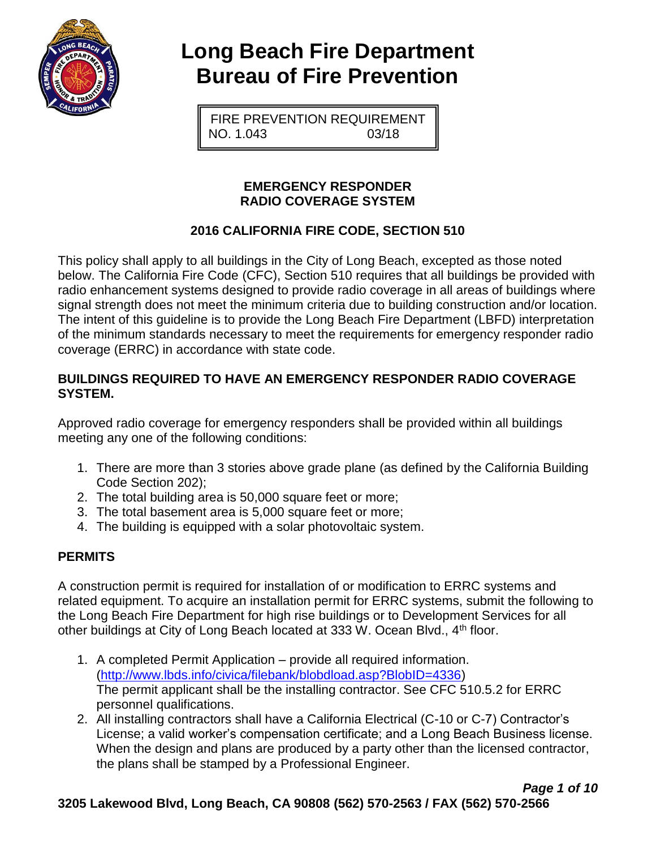

# **Long Beach Fire Department Bureau of Fire Prevention**

FIRE PREVENTION REQUIREMENT NO. 1.043 03/18

### **EMERGENCY RESPONDER RADIO COVERAGE SYSTEM**

# **2016 CALIFORNIA FIRE CODE, SECTION 510**

This policy shall apply to all buildings in the City of Long Beach, excepted as those noted below. The California Fire Code (CFC), Section 510 requires that all buildings be provided with radio enhancement systems designed to provide radio coverage in all areas of buildings where signal strength does not meet the minimum criteria due to building construction and/or location. The intent of this guideline is to provide the Long Beach Fire Department (LBFD) interpretation of the minimum standards necessary to meet the requirements for emergency responder radio coverage (ERRC) in accordance with state code.

### **BUILDINGS REQUIRED TO HAVE AN EMERGENCY RESPONDER RADIO COVERAGE SYSTEM.**

Approved radio coverage for emergency responders shall be provided within all buildings meeting any one of the following conditions:

- 1. There are more than 3 stories above grade plane (as defined by the California Building Code Section 202);
- 2. The total building area is 50,000 square feet or more;
- 3. The total basement area is 5,000 square feet or more;
- 4. The building is equipped with a solar photovoltaic system.

# **PERMITS**

A construction permit is required for installation of or modification to ERRC systems and related equipment. To acquire an installation permit for ERRC systems, submit the following to the Long Beach Fire Department for high rise buildings or to Development Services for all other buildings at City of Long Beach located at 333 W. Ocean Blvd., 4<sup>th</sup> floor.

- 1. A completed Permit Application provide all required information. [\(http://www.lbds.info/civica/filebank/blobdload.asp?BlobID=4336\)](http://www.lbds.info/civica/filebank/blobdload.asp?BlobID=4336) The permit applicant shall be the installing contractor. See CFC 510.5.2 for ERRC personnel qualifications.
- 2. All installing contractors shall have a California Electrical (C-10 or C-7) Contractor's License; a valid worker's compensation certificate; and a Long Beach Business license. When the design and plans are produced by a party other than the licensed contractor, the plans shall be stamped by a Professional Engineer.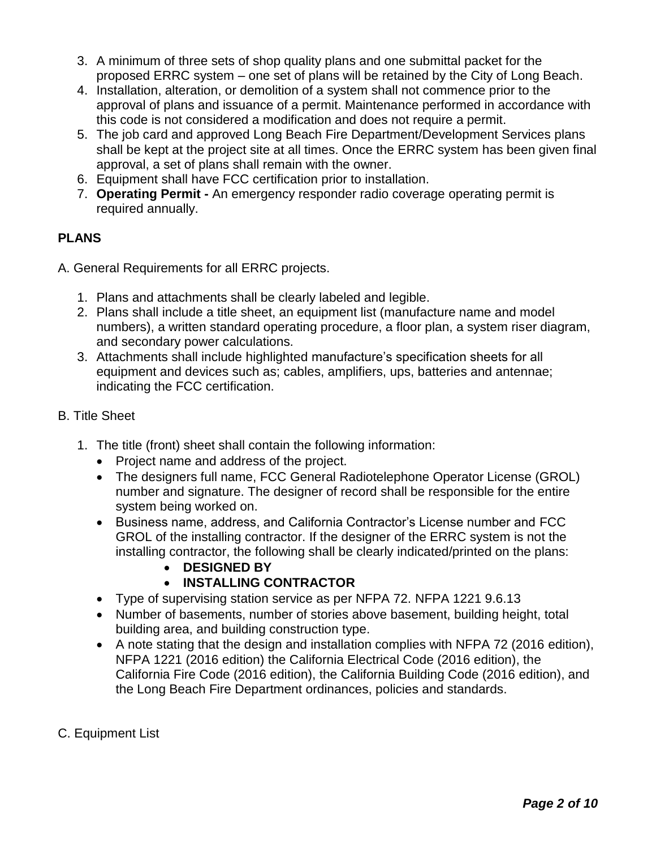- 3. A minimum of three sets of shop quality plans and one submittal packet for the proposed ERRC system – one set of plans will be retained by the City of Long Beach.
- 4. Installation, alteration, or demolition of a system shall not commence prior to the approval of plans and issuance of a permit. Maintenance performed in accordance with this code is not considered a modification and does not require a permit.
- 5. The job card and approved Long Beach Fire Department/Development Services plans shall be kept at the project site at all times. Once the ERRC system has been given final approval, a set of plans shall remain with the owner.
- 6. Equipment shall have FCC certification prior to installation.
- 7. **Operating Permit -** An emergency responder radio coverage operating permit is required annually.

# **PLANS**

- A. General Requirements for all ERRC projects.
	- 1. Plans and attachments shall be clearly labeled and legible.
	- 2. Plans shall include a title sheet, an equipment list (manufacture name and model numbers), a written standard operating procedure, a floor plan, a system riser diagram, and secondary power calculations.
	- 3. Attachments shall include highlighted manufacture's specification sheets for all equipment and devices such as; cables, amplifiers, ups, batteries and antennae; indicating the FCC certification.

# B. Title Sheet

- 1. The title (front) sheet shall contain the following information:
	- Project name and address of the project.
	- The designers full name, FCC General Radiotelephone Operator License (GROL) number and signature. The designer of record shall be responsible for the entire system being worked on.
	- Business name, address, and California Contractor's License number and FCC GROL of the installing contractor. If the designer of the ERRC system is not the installing contractor, the following shall be clearly indicated/printed on the plans:
		- **DESIGNED BY**

# • **INSTALLING CONTRACTOR**

- Type of supervising station service as per NFPA 72. NFPA 1221 9.6.13
- Number of basements, number of stories above basement, building height, total building area, and building construction type.
- A note stating that the design and installation complies with NFPA 72 (2016 edition), NFPA 1221 (2016 edition) the California Electrical Code (2016 edition), the California Fire Code (2016 edition), the California Building Code (2016 edition), and the Long Beach Fire Department ordinances, policies and standards.
- C. Equipment List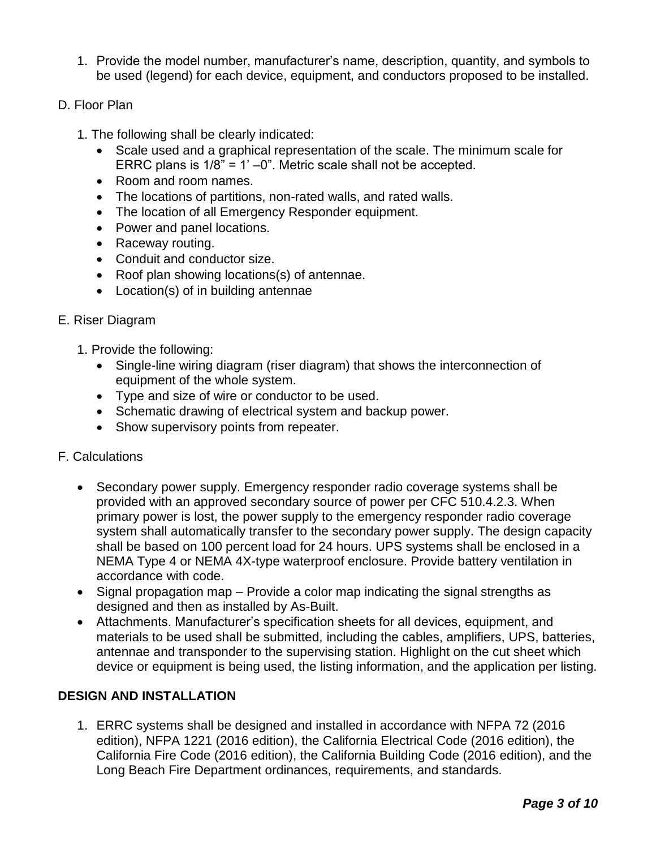- 1. Provide the model number, manufacturer's name, description, quantity, and symbols to be used (legend) for each device, equipment, and conductors proposed to be installed.
- D. Floor Plan
	- 1. The following shall be clearly indicated:
		- Scale used and a graphical representation of the scale. The minimum scale for ERRC plans is  $1/8$ " = 1' -0". Metric scale shall not be accepted.
		- Room and room names.
		- The locations of partitions, non-rated walls, and rated walls.
		- The location of all Emergency Responder equipment.
		- Power and panel locations.
		- Raceway routing.
		- Conduit and conductor size.
		- Roof plan showing locations(s) of antennae.
		- Location(s) of in building antennae

#### E. Riser Diagram

- 1. Provide the following:
	- Single-line wiring diagram (riser diagram) that shows the interconnection of equipment of the whole system.
	- Type and size of wire or conductor to be used.
	- Schematic drawing of electrical system and backup power.
	- Show supervisory points from repeater.
- F. Calculations
	- Secondary power supply. Emergency responder radio coverage systems shall be provided with an approved secondary source of power per CFC 510.4.2.3. When primary power is lost, the power supply to the emergency responder radio coverage system shall automatically transfer to the secondary power supply. The design capacity shall be based on 100 percent load for 24 hours. UPS systems shall be enclosed in a NEMA Type 4 or NEMA 4X-type waterproof enclosure. Provide battery ventilation in accordance with code.
	- Signal propagation map Provide a color map indicating the signal strengths as designed and then as installed by As-Built.
	- Attachments. Manufacturer's specification sheets for all devices, equipment, and materials to be used shall be submitted, including the cables, amplifiers, UPS, batteries, antennae and transponder to the supervising station. Highlight on the cut sheet which device or equipment is being used, the listing information, and the application per listing.

#### **DESIGN AND INSTALLATION**

1. ERRC systems shall be designed and installed in accordance with NFPA 72 (2016 edition), NFPA 1221 (2016 edition), the California Electrical Code (2016 edition), the California Fire Code (2016 edition), the California Building Code (2016 edition), and the Long Beach Fire Department ordinances, requirements, and standards.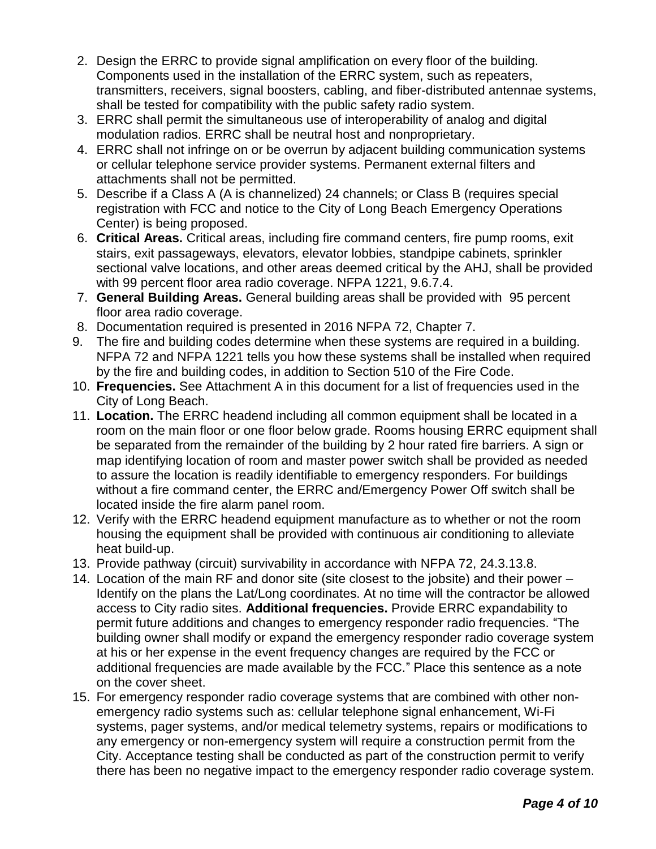- 2. Design the ERRC to provide signal amplification on every floor of the building. Components used in the installation of the ERRC system, such as repeaters, transmitters, receivers, signal boosters, cabling, and fiber-distributed antennae systems, shall be tested for compatibility with the public safety radio system.
- 3. ERRC shall permit the simultaneous use of interoperability of analog and digital modulation radios. ERRC shall be neutral host and nonproprietary.
- 4. ERRC shall not infringe on or be overrun by adjacent building communication systems or cellular telephone service provider systems. Permanent external filters and attachments shall not be permitted.
- 5. Describe if a Class A (A is channelized) 24 channels; or Class B (requires special registration with FCC and notice to the City of Long Beach Emergency Operations Center) is being proposed.
- 6. **Critical Areas.** Critical areas, including fire command centers, fire pump rooms, exit stairs, exit passageways, elevators, elevator lobbies, standpipe cabinets, sprinkler sectional valve locations, and other areas deemed critical by the AHJ, shall be provided with 99 percent floor area radio coverage. NFPA 1221, 9.6.7.4.
- 7. **General Building Areas.** General building areas shall be provided with 95 percent floor area radio coverage.
- 8. Documentation required is presented in 2016 NFPA 72, Chapter 7.
- 9. The fire and building codes determine when these systems are required in a building. NFPA 72 and NFPA 1221 tells you how these systems shall be installed when required by the fire and building codes, in addition to Section 510 of the Fire Code.
- 10. **Frequencies.** See Attachment A in this document for a list of frequencies used in the City of Long Beach.
- 11. **Location.** The ERRC headend including all common equipment shall be located in a room on the main floor or one floor below grade. Rooms housing ERRC equipment shall be separated from the remainder of the building by 2 hour rated fire barriers. A sign or map identifying location of room and master power switch shall be provided as needed to assure the location is readily identifiable to emergency responders. For buildings without a fire command center, the ERRC and/Emergency Power Off switch shall be located inside the fire alarm panel room.
- 12. Verify with the ERRC headend equipment manufacture as to whether or not the room housing the equipment shall be provided with continuous air conditioning to alleviate heat build-up.
- 13. Provide pathway (circuit) survivability in accordance with NFPA 72, 24.3.13.8.
- 14. Location of the main RF and donor site (site closest to the jobsite) and their power Identify on the plans the Lat/Long coordinates. At no time will the contractor be allowed access to City radio sites. **Additional frequencies.** Provide ERRC expandability to permit future additions and changes to emergency responder radio frequencies. "The building owner shall modify or expand the emergency responder radio coverage system at his or her expense in the event frequency changes are required by the FCC or additional frequencies are made available by the FCC." Place this sentence as a note on the cover sheet.
- 15. For emergency responder radio coverage systems that are combined with other nonemergency radio systems such as: cellular telephone signal enhancement, Wi-Fi systems, pager systems, and/or medical telemetry systems, repairs or modifications to any emergency or non-emergency system will require a construction permit from the City. Acceptance testing shall be conducted as part of the construction permit to verify there has been no negative impact to the emergency responder radio coverage system.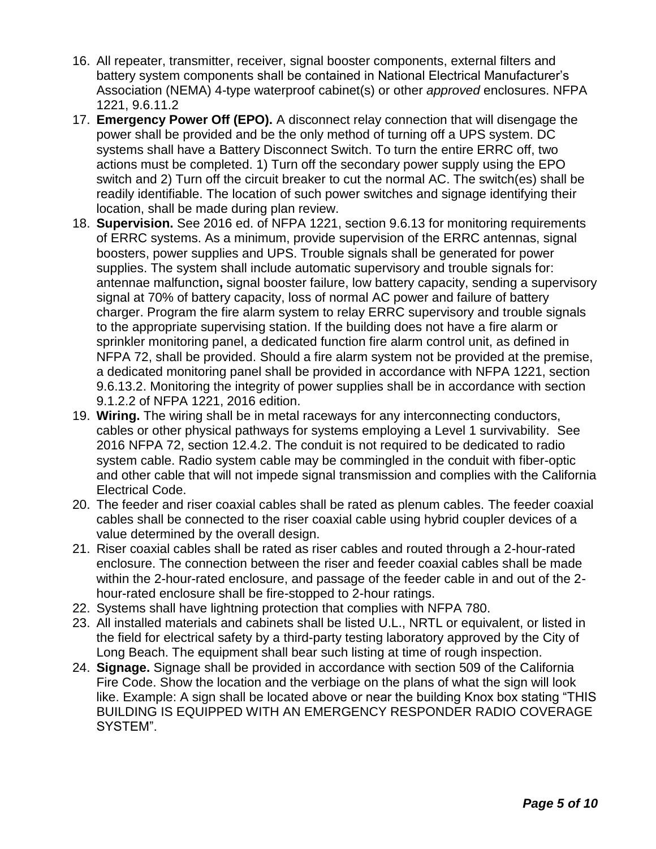- 16. All repeater, transmitter, receiver, signal booster components, external filters and battery system components shall be contained in National Electrical Manufacturer's Association (NEMA) 4-type waterproof cabinet(s) or other *approved* enclosures. NFPA 1221, 9.6.11.2
- 17. **Emergency Power Off (EPO).** A disconnect relay connection that will disengage the power shall be provided and be the only method of turning off a UPS system. DC systems shall have a Battery Disconnect Switch. To turn the entire ERRC off, two actions must be completed. 1) Turn off the secondary power supply using the EPO switch and 2) Turn off the circuit breaker to cut the normal AC. The switch(es) shall be readily identifiable. The location of such power switches and signage identifying their location, shall be made during plan review.
- 18. **Supervision.** See 2016 ed. of NFPA 1221, section 9.6.13 for monitoring requirements of ERRC systems. As a minimum, provide supervision of the ERRC antennas, signal boosters, power supplies and UPS. Trouble signals shall be generated for power supplies. The system shall include automatic supervisory and trouble signals for: antennae malfunction**,** signal booster failure, low battery capacity, sending a supervisory signal at 70% of battery capacity, loss of normal AC power and failure of battery charger. Program the fire alarm system to relay ERRC supervisory and trouble signals to the appropriate supervising station. If the building does not have a fire alarm or sprinkler monitoring panel, a dedicated function fire alarm control unit, as defined in NFPA 72, shall be provided. Should a fire alarm system not be provided at the premise, a dedicated monitoring panel shall be provided in accordance with NFPA 1221, section 9.6.13.2. Monitoring the integrity of power supplies shall be in accordance with section 9.1.2.2 of NFPA 1221, 2016 edition.
- 19. **Wiring.** The wiring shall be in metal raceways for any interconnecting conductors, cables or other physical pathways for systems employing a Level 1 survivability. See 2016 NFPA 72, section 12.4.2. The conduit is not required to be dedicated to radio system cable. Radio system cable may be commingled in the conduit with fiber-optic and other cable that will not impede signal transmission and complies with the California Electrical Code.
- 20. The feeder and riser coaxial cables shall be rated as plenum cables. The feeder coaxial cables shall be connected to the riser coaxial cable using hybrid coupler devices of a value determined by the overall design.
- 21. Riser coaxial cables shall be rated as riser cables and routed through a 2-hour-rated enclosure. The connection between the riser and feeder coaxial cables shall be made within the 2-hour-rated enclosure, and passage of the feeder cable in and out of the 2 hour-rated enclosure shall be fire-stopped to 2-hour ratings.
- 22. Systems shall have lightning protection that complies with NFPA 780.
- 23. All installed materials and cabinets shall be listed U.L., NRTL or equivalent, or listed in the field for electrical safety by a third-party testing laboratory approved by the City of Long Beach. The equipment shall bear such listing at time of rough inspection.
- 24. **Signage.** Signage shall be provided in accordance with section 509 of the California Fire Code. Show the location and the verbiage on the plans of what the sign will look like. Example: A sign shall be located above or near the building Knox box stating "THIS BUILDING IS EQUIPPED WITH AN EMERGENCY RESPONDER RADIO COVERAGE SYSTEM".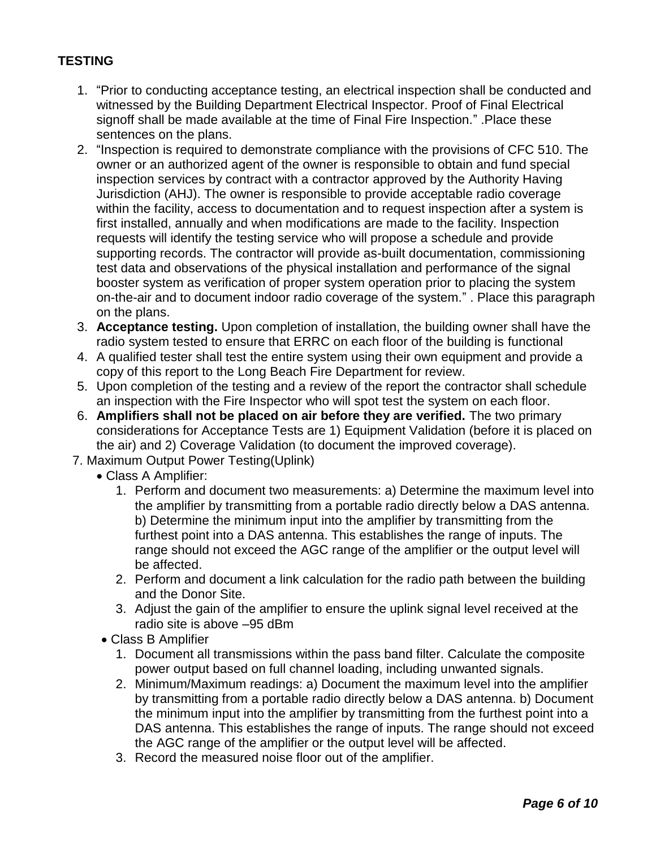# **TESTING**

- 1. "Prior to conducting acceptance testing, an electrical inspection shall be conducted and witnessed by the Building Department Electrical Inspector. Proof of Final Electrical signoff shall be made available at the time of Final Fire Inspection." .Place these sentences on the plans.
- 2. "Inspection is required to demonstrate compliance with the provisions of CFC 510. The owner or an authorized agent of the owner is responsible to obtain and fund special inspection services by contract with a contractor approved by the Authority Having Jurisdiction (AHJ). The owner is responsible to provide acceptable radio coverage within the facility, access to documentation and to request inspection after a system is first installed, annually and when modifications are made to the facility. Inspection requests will identify the testing service who will propose a schedule and provide supporting records. The contractor will provide as-built documentation, commissioning test data and observations of the physical installation and performance of the signal booster system as verification of proper system operation prior to placing the system on-the-air and to document indoor radio coverage of the system." . Place this paragraph on the plans.
- 3. **Acceptance testing.** Upon completion of installation, the building owner shall have the radio system tested to ensure that ERRC on each floor of the building is functional
- 4. A qualified tester shall test the entire system using their own equipment and provide a copy of this report to the Long Beach Fire Department for review.
- 5. Upon completion of the testing and a review of the report the contractor shall schedule an inspection with the Fire Inspector who will spot test the system on each floor.
- 6. **Amplifiers shall not be placed on air before they are verified.** The two primary considerations for Acceptance Tests are 1) Equipment Validation (before it is placed on the air) and 2) Coverage Validation (to document the improved coverage).
- 7. Maximum Output Power Testing(Uplink)
	- Class A Amplifier:
		- 1. Perform and document two measurements: a) Determine the maximum level into the amplifier by transmitting from a portable radio directly below a DAS antenna. b) Determine the minimum input into the amplifier by transmitting from the furthest point into a DAS antenna. This establishes the range of inputs. The range should not exceed the AGC range of the amplifier or the output level will be affected.
		- 2. Perform and document a link calculation for the radio path between the building and the Donor Site.
		- 3. Adjust the gain of the amplifier to ensure the uplink signal level received at the radio site is above –95 dBm
	- Class B Amplifier
		- 1. Document all transmissions within the pass band filter. Calculate the composite power output based on full channel loading, including unwanted signals.
		- 2. Minimum/Maximum readings: a) Document the maximum level into the amplifier by transmitting from a portable radio directly below a DAS antenna. b) Document the minimum input into the amplifier by transmitting from the furthest point into a DAS antenna. This establishes the range of inputs. The range should not exceed the AGC range of the amplifier or the output level will be affected.
		- 3. Record the measured noise floor out of the amplifier.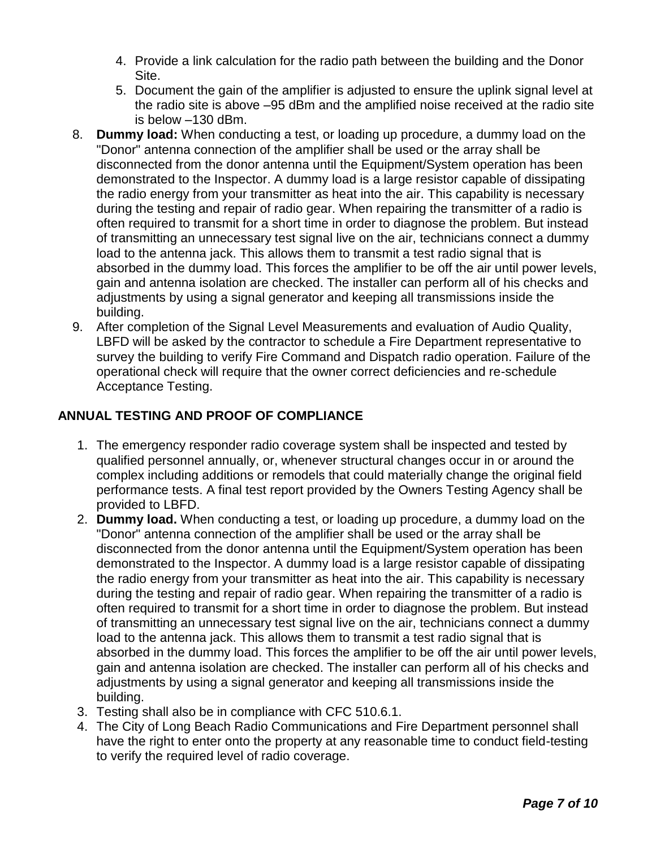- 4. Provide a link calculation for the radio path between the building and the Donor Site.
- 5. Document the gain of the amplifier is adjusted to ensure the uplink signal level at the radio site is above –95 dBm and the amplified noise received at the radio site is below –130 dBm.
- 8. **Dummy load:** When conducting a test, or loading up procedure, a dummy load on the "Donor" antenna connection of the amplifier shall be used or the array shall be disconnected from the donor antenna until the Equipment/System operation has been demonstrated to the Inspector. A dummy load is a large resistor capable of dissipating the radio energy from your transmitter as heat into the air. This capability is necessary during the testing and repair of radio gear. When repairing the transmitter of a radio is often required to transmit for a short time in order to diagnose the problem. But instead of transmitting an unnecessary test signal live on the air, technicians connect a dummy load to the antenna jack. This allows them to transmit a test radio signal that is absorbed in the dummy load. This forces the amplifier to be off the air until power levels, gain and antenna isolation are checked. The installer can perform all of his checks and adjustments by using a signal generator and keeping all transmissions inside the building.
- 9. After completion of the Signal Level Measurements and evaluation of Audio Quality, LBFD will be asked by the contractor to schedule a Fire Department representative to survey the building to verify Fire Command and Dispatch radio operation. Failure of the operational check will require that the owner correct deficiencies and re-schedule Acceptance Testing.

# **ANNUAL TESTING AND PROOF OF COMPLIANCE**

- 1. The emergency responder radio coverage system shall be inspected and tested by qualified personnel annually, or, whenever structural changes occur in or around the complex including additions or remodels that could materially change the original field performance tests. A final test report provided by the Owners Testing Agency shall be provided to LBFD.
- 2. **Dummy load.** When conducting a test, or loading up procedure, a dummy load on the "Donor" antenna connection of the amplifier shall be used or the array shall be disconnected from the donor antenna until the Equipment/System operation has been demonstrated to the Inspector. A dummy load is a large resistor capable of dissipating the radio energy from your transmitter as heat into the air. This capability is necessary during the testing and repair of radio gear. When repairing the transmitter of a radio is often required to transmit for a short time in order to diagnose the problem. But instead of transmitting an unnecessary test signal live on the air, technicians connect a dummy load to the antenna jack. This allows them to transmit a test radio signal that is absorbed in the dummy load. This forces the amplifier to be off the air until power levels, gain and antenna isolation are checked. The installer can perform all of his checks and adjustments by using a signal generator and keeping all transmissions inside the building.
- 3. Testing shall also be in compliance with CFC 510.6.1.
- 4. The City of Long Beach Radio Communications and Fire Department personnel shall have the right to enter onto the property at any reasonable time to conduct field-testing to verify the required level of radio coverage.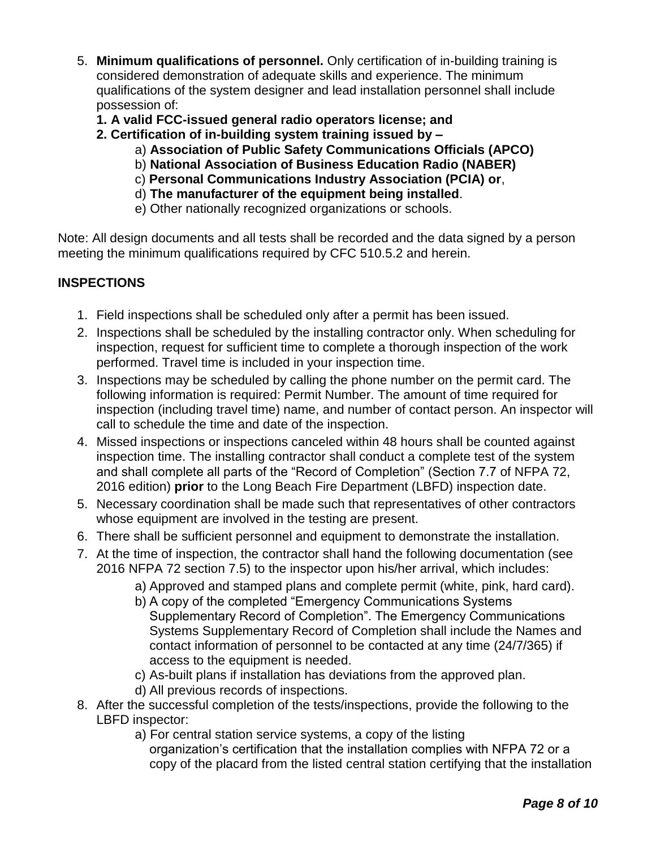- 5. **Minimum qualifications of personnel.** Only certification of in-building training is considered demonstration of adequate skills and experience. The minimum qualifications of the system designer and lead installation personnel shall include possession of:
	- **1. A valid FCC-issued general radio operators license; and**
	- **2. Certification of in-building system training issued by –**
		- a) **Association of Public Safety Communications Officials (APCO)**
		- b) **National Association of Business Education Radio (NABER)**
		- c) **Personal Communications Industry Association (PCIA) or**,
		- d) **The manufacturer of the equipment being installed**.
		- e) Other nationally recognized organizations or schools.

Note: All design documents and all tests shall be recorded and the data signed by a person meeting the minimum qualifications required by CFC 510.5.2 and herein.

# **INSPECTIONS**

- 1. Field inspections shall be scheduled only after a permit has been issued.
- 2. Inspections shall be scheduled by the installing contractor only. When scheduling for inspection, request for sufficient time to complete a thorough inspection of the work performed. Travel time is included in your inspection time.
- 3. Inspections may be scheduled by calling the phone number on the permit card. The following information is required: Permit Number. The amount of time required for inspection (including travel time) name, and number of contact person. An inspector will call to schedule the time and date of the inspection.
- 4. Missed inspections or inspections canceled within 48 hours shall be counted against inspection time. The installing contractor shall conduct a complete test of the system and shall complete all parts of the "Record of Completion" (Section 7.7 of NFPA 72, 2016 edition) **prior** to the Long Beach Fire Department (LBFD) inspection date.
- 5. Necessary coordination shall be made such that representatives of other contractors whose equipment are involved in the testing are present.
- 6. There shall be sufficient personnel and equipment to demonstrate the installation.
- 7. At the time of inspection, the contractor shall hand the following documentation (see 2016 NFPA 72 section 7.5) to the inspector upon his/her arrival, which includes:
	- a) Approved and stamped plans and complete permit (white, pink, hard card).
	- b) A copy of the completed "Emergency Communications Systems Supplementary Record of Completion". The Emergency Communications Systems Supplementary Record of Completion shall include the Names and contact information of personnel to be contacted at any time (24/7/365) if access to the equipment is needed.
	- c) As-built plans if installation has deviations from the approved plan.
	- d) All previous records of inspections.
- 8. After the successful completion of the tests/inspections, provide the following to the LBFD inspector:
	- a) For central station service systems, a copy of the listing organization's certification that the installation complies with NFPA 72 or a copy of the placard from the listed central station certifying that the installation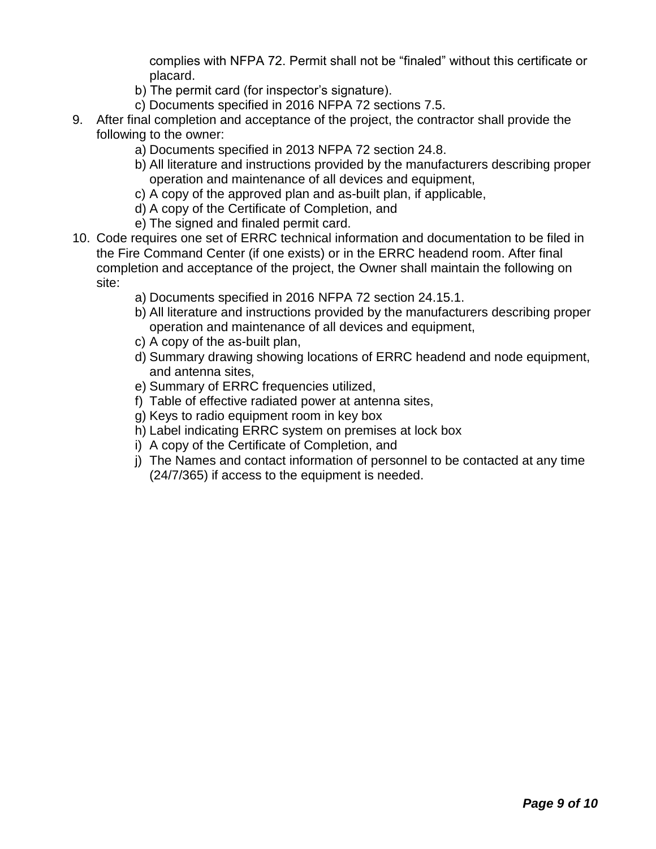complies with NFPA 72. Permit shall not be "finaled" without this certificate or placard.

- b) The permit card (for inspector's signature).
- c) Documents specified in 2016 NFPA 72 sections 7.5.
- 9. After final completion and acceptance of the project, the contractor shall provide the following to the owner:
	- a) Documents specified in 2013 NFPA 72 section 24.8.
	- b) All literature and instructions provided by the manufacturers describing proper operation and maintenance of all devices and equipment,
	- c) A copy of the approved plan and as-built plan, if applicable,
	- d) A copy of the Certificate of Completion, and
	- e) The signed and finaled permit card.
- 10. Code requires one set of ERRC technical information and documentation to be filed in the Fire Command Center (if one exists) or in the ERRC headend room. After final completion and acceptance of the project, the Owner shall maintain the following on site:
	- a) Documents specified in 2016 NFPA 72 section 24.15.1.
	- b) All literature and instructions provided by the manufacturers describing proper operation and maintenance of all devices and equipment,
	- c) A copy of the as-built plan,
	- d) Summary drawing showing locations of ERRC headend and node equipment, and antenna sites,
	- e) Summary of ERRC frequencies utilized,
	- f) Table of effective radiated power at antenna sites,
	- g) Keys to radio equipment room in key box
	- h) Label indicating ERRC system on premises at lock box
	- i) A copy of the Certificate of Completion, and
	- j) The Names and contact information of personnel to be contacted at any time (24/7/365) if access to the equipment is needed.